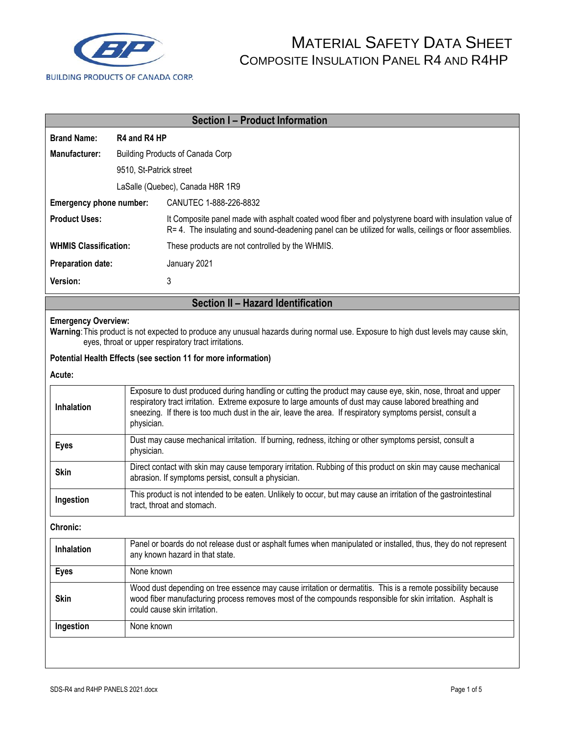

| <b>Section I - Product Information</b> |                                                                                                                                                                                                                                                                                                                                                     |                                                                                                                                                                                                                  |  |  |  |
|----------------------------------------|-----------------------------------------------------------------------------------------------------------------------------------------------------------------------------------------------------------------------------------------------------------------------------------------------------------------------------------------------------|------------------------------------------------------------------------------------------------------------------------------------------------------------------------------------------------------------------|--|--|--|
| <b>Brand Name:</b>                     | R4 and R4 HP                                                                                                                                                                                                                                                                                                                                        |                                                                                                                                                                                                                  |  |  |  |
| Manufacturer:                          | <b>Building Products of Canada Corp</b>                                                                                                                                                                                                                                                                                                             |                                                                                                                                                                                                                  |  |  |  |
|                                        | 9510, St-Patrick street                                                                                                                                                                                                                                                                                                                             |                                                                                                                                                                                                                  |  |  |  |
|                                        | LaSalle (Quebec), Canada H8R 1R9                                                                                                                                                                                                                                                                                                                    |                                                                                                                                                                                                                  |  |  |  |
| Emergency phone number:                |                                                                                                                                                                                                                                                                                                                                                     | CANUTEC 1-888-226-8832                                                                                                                                                                                           |  |  |  |
| <b>Product Uses:</b>                   |                                                                                                                                                                                                                                                                                                                                                     | It Composite panel made with asphalt coated wood fiber and polystyrene board with insulation value of<br>R= 4. The insulating and sound-deadening panel can be utilized for walls, ceilings or floor assemblies. |  |  |  |
| <b>WHMIS Classification:</b>           |                                                                                                                                                                                                                                                                                                                                                     | These products are not controlled by the WHMIS.                                                                                                                                                                  |  |  |  |
| <b>Preparation date:</b>               |                                                                                                                                                                                                                                                                                                                                                     | January 2021                                                                                                                                                                                                     |  |  |  |
| Version:                               |                                                                                                                                                                                                                                                                                                                                                     | 3                                                                                                                                                                                                                |  |  |  |
|                                        |                                                                                                                                                                                                                                                                                                                                                     | Section II - Hazard Identification                                                                                                                                                                               |  |  |  |
|                                        | <b>Emergency Overview:</b><br>Warning: This product is not expected to produce any unusual hazards during normal use. Exposure to high dust levels may cause skin,<br>eyes, throat or upper respiratory tract irritations.                                                                                                                          |                                                                                                                                                                                                                  |  |  |  |
|                                        |                                                                                                                                                                                                                                                                                                                                                     | Potential Health Effects (see section 11 for more information)                                                                                                                                                   |  |  |  |
| Acute:                                 |                                                                                                                                                                                                                                                                                                                                                     |                                                                                                                                                                                                                  |  |  |  |
| Inhalation                             | Exposure to dust produced during handling or cutting the product may cause eye, skin, nose, throat and upper<br>respiratory tract irritation. Extreme exposure to large amounts of dust may cause labored breathing and<br>sneezing. If there is too much dust in the air, leave the area. If respiratory symptoms persist, consult a<br>physician. |                                                                                                                                                                                                                  |  |  |  |
| <b>Eyes</b>                            |                                                                                                                                                                                                                                                                                                                                                     | Dust may cause mechanical irritation. If burning, redness, itching or other symptoms persist, consult a<br>physician.                                                                                            |  |  |  |
| <b>Skin</b>                            | Direct contact with skin may cause temporary irritation. Rubbing of this product on skin may cause mechanical<br>abrasion. If symptoms persist, consult a physician.                                                                                                                                                                                |                                                                                                                                                                                                                  |  |  |  |
| Ingestion                              | This product is not intended to be eaten. Unlikely to occur, but may cause an irritation of the gastrointestinal<br>tract, throat and stomach.                                                                                                                                                                                                      |                                                                                                                                                                                                                  |  |  |  |
| <b>Chronic:</b>                        |                                                                                                                                                                                                                                                                                                                                                     |                                                                                                                                                                                                                  |  |  |  |
| Inhalation                             | Panel or boards do not release dust or asphalt fumes when manipulated or installed, thus, they do not represent<br>any known hazard in that state.                                                                                                                                                                                                  |                                                                                                                                                                                                                  |  |  |  |
| <b>Eyes</b>                            |                                                                                                                                                                                                                                                                                                                                                     | None known                                                                                                                                                                                                       |  |  |  |
| <b>Skin</b>                            | Wood dust depending on tree essence may cause irritation or dermatitis. This is a remote possibility because<br>wood fiber manufacturing process removes most of the compounds responsible for skin irritation. Asphalt is<br>could cause skin irritation.                                                                                          |                                                                                                                                                                                                                  |  |  |  |
| Ingestion                              | None known                                                                                                                                                                                                                                                                                                                                          |                                                                                                                                                                                                                  |  |  |  |
|                                        |                                                                                                                                                                                                                                                                                                                                                     |                                                                                                                                                                                                                  |  |  |  |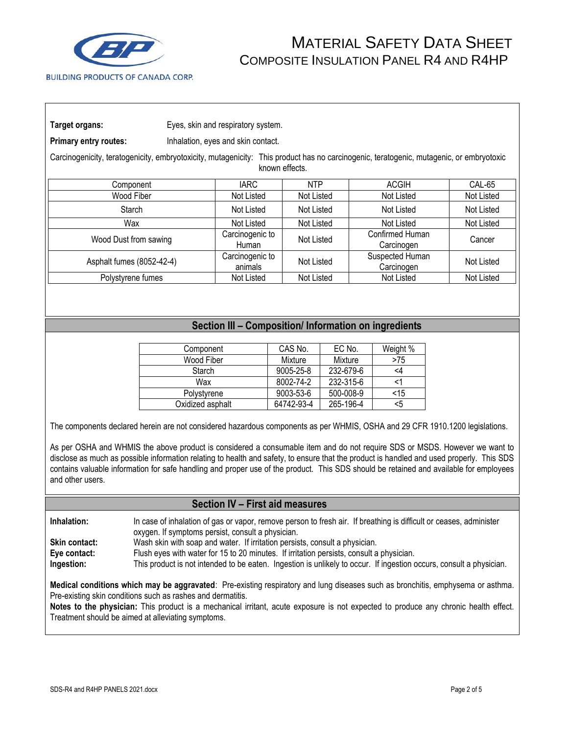

| Target organs: | Eyes, skin and respiratory system. |  |  |
|----------------|------------------------------------|--|--|
|                |                                    |  |  |

**Primary entry routes:** Inhalation, eyes and skin contact.

Carcinogenicity, teratogenicity, embryotoxicity, mutagenicity: This product has no carcinogenic, teratogenic, mutagenic, or embryotoxic known effects.

| Component                 | <b>IARC</b>                | <b>NTP</b> | <b>ACGIH</b>                  | CAL-65     |
|---------------------------|----------------------------|------------|-------------------------------|------------|
| Wood Fiber                | Not Listed                 | Not Listed | Not Listed                    | Not Listed |
| <b>Starch</b>             | Not Listed                 | Not Listed | Not Listed                    | Not Listed |
| Wax                       | Not Listed                 | Not Listed | Not Listed                    | Not Listed |
| Wood Dust from sawing     | Carcinogenic to<br>Human   | Not Listed | Confirmed Human<br>Carcinogen | Cancer     |
| Asphalt fumes (8052-42-4) | Carcinogenic to<br>animals | Not Listed | Suspected Human<br>Carcinogen | Not Listed |
| Polystyrene fumes         | Not Listed                 | Not Listed | Not Listed                    | Not Listed |

### **Section III – Composition/ Information on ingredients**

| Component        | CAS No.    | EC No.    | Weight % |
|------------------|------------|-----------|----------|
| Wood Fiber       | Mixture    | Mixture   | >75      |
| Starch           | 9005-25-8  | 232-679-6 | <4       |
| Wax              | 8002-74-2  | 232-315-6 |          |
| Polystyrene      | 9003-53-6  | 500-008-9 | $<$ 15   |
| Oxidized asphalt | 64742-93-4 | 265-196-4 | <5       |

The components declared herein are not considered hazardous components as per WHMIS, OSHA and 29 CFR 1910.1200 legislations.

As per OSHA and WHMIS the above product is considered a consumable item and do not require SDS or MSDS. However we want to disclose as much as possible information relating to health and safety, to ensure that the product is handled and used properly. This SDS contains valuable information for safe handling and proper use of the product. This SDS should be retained and available for employees and other users.

#### **Section IV – First aid measures**

**Inhalation:** In case of inhalation of gas or vapor, remove person to fresh air. If breathing is difficult or ceases, administer oxygen. If symptoms persist, consult a physician. **Skin contact:** Wash skin with soap and water. If irritation persists, consult a physician. **Eye contact:** Flush eyes with water for 15 to 20 minutes. If irritation persists, consult a physician. **Ingestion:** This product is not intended to be eaten. Ingestion is unlikely to occur. If ingestion occurs, consult a physician.

**Medical conditions which may be aggravated**: Pre-existing respiratory and lung diseases such as bronchitis, emphysema or asthma. Pre-existing skin conditions such as rashes and dermatitis.

**Notes to the physician:** This product is a mechanical irritant, acute exposure is not expected to produce any chronic health effect. Treatment should be aimed at alleviating symptoms.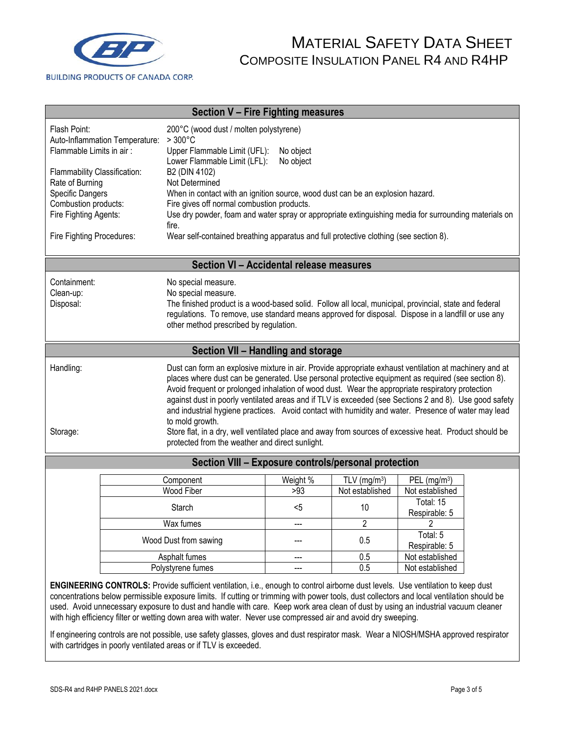

| <b>Section V - Fire Fighting measures</b>                                                                                                                                                                                                                                                                                                                                                                                                                                                                                                                                                                                                                                                                                                  |                                                                                                                                       |                                                                                                                                                                                                                                                                                                      |                 |                                    |                                             |  |
|--------------------------------------------------------------------------------------------------------------------------------------------------------------------------------------------------------------------------------------------------------------------------------------------------------------------------------------------------------------------------------------------------------------------------------------------------------------------------------------------------------------------------------------------------------------------------------------------------------------------------------------------------------------------------------------------------------------------------------------------|---------------------------------------------------------------------------------------------------------------------------------------|------------------------------------------------------------------------------------------------------------------------------------------------------------------------------------------------------------------------------------------------------------------------------------------------------|-----------------|------------------------------------|---------------------------------------------|--|
| Flash Point:<br>Flammable Limits in air:                                                                                                                                                                                                                                                                                                                                                                                                                                                                                                                                                                                                                                                                                                   | Auto-Inflammation Temperature:                                                                                                        | 200°C (wood dust / molten polystyrene)<br>$>300^{\circ}$ C<br>Upper Flammable Limit (UFL):<br>No object                                                                                                                                                                                              |                 |                                    |                                             |  |
| Flammability Classification:<br>Rate of Burning                                                                                                                                                                                                                                                                                                                                                                                                                                                                                                                                                                                                                                                                                            |                                                                                                                                       | Lower Flammable Limit (LFL):<br>No object<br>B2 (DIN 4102)<br>Not Determined                                                                                                                                                                                                                         |                 |                                    |                                             |  |
| <b>Specific Dangers</b><br>Combustion products:                                                                                                                                                                                                                                                                                                                                                                                                                                                                                                                                                                                                                                                                                            |                                                                                                                                       | When in contact with an ignition source, wood dust can be an explosion hazard.<br>Fire gives off normal combustion products.                                                                                                                                                                         |                 |                                    |                                             |  |
| Fire Fighting Agents:                                                                                                                                                                                                                                                                                                                                                                                                                                                                                                                                                                                                                                                                                                                      |                                                                                                                                       | Use dry powder, foam and water spray or appropriate extinguishing media for surrounding materials on<br>fire.                                                                                                                                                                                        |                 |                                    |                                             |  |
| Fire Fighting Procedures:                                                                                                                                                                                                                                                                                                                                                                                                                                                                                                                                                                                                                                                                                                                  |                                                                                                                                       | Wear self-contained breathing apparatus and full protective clothing (see section 8).                                                                                                                                                                                                                |                 |                                    |                                             |  |
|                                                                                                                                                                                                                                                                                                                                                                                                                                                                                                                                                                                                                                                                                                                                            |                                                                                                                                       | Section VI - Accidental release measures                                                                                                                                                                                                                                                             |                 |                                    |                                             |  |
| Containment:<br>Clean-up:<br>Disposal:                                                                                                                                                                                                                                                                                                                                                                                                                                                                                                                                                                                                                                                                                                     |                                                                                                                                       | No special measure.<br>No special measure.<br>The finished product is a wood-based solid. Follow all local, municipal, provincial, state and federal<br>regulations. To remove, use standard means approved for disposal. Dispose in a landfill or use any<br>other method prescribed by regulation. |                 |                                    |                                             |  |
|                                                                                                                                                                                                                                                                                                                                                                                                                                                                                                                                                                                                                                                                                                                                            |                                                                                                                                       | Section VII - Handling and storage                                                                                                                                                                                                                                                                   |                 |                                    |                                             |  |
| Handling:<br>Dust can form an explosive mixture in air. Provide appropriate exhaust ventilation at machinery and at<br>places where dust can be generated. Use personal protective equipment as required (see section 8).<br>Avoid frequent or prolonged inhalation of wood dust. Wear the appropriate respiratory protection<br>against dust in poorly ventilated areas and if TLV is exceeded (see Sections 2 and 8). Use good safety<br>and industrial hygiene practices. Avoid contact with humidity and water. Presence of water may lead<br>to mold growth.<br>Store flat, in a dry, well ventilated place and away from sources of excessive heat. Product should be<br>Storage:<br>protected from the weather and direct sunlight. |                                                                                                                                       |                                                                                                                                                                                                                                                                                                      |                 |                                    |                                             |  |
| Section VIII - Exposure controls/personal protection                                                                                                                                                                                                                                                                                                                                                                                                                                                                                                                                                                                                                                                                                       |                                                                                                                                       |                                                                                                                                                                                                                                                                                                      |                 |                                    |                                             |  |
|                                                                                                                                                                                                                                                                                                                                                                                                                                                                                                                                                                                                                                                                                                                                            |                                                                                                                                       | Component<br><b>Wood Fiber</b>                                                                                                                                                                                                                                                                       | Weight %<br>>93 | TLV ( $mg/m3$ )<br>Not established | PEL (mg/m <sup>3</sup> )<br>Not established |  |
|                                                                                                                                                                                                                                                                                                                                                                                                                                                                                                                                                                                                                                                                                                                                            |                                                                                                                                       | Starch                                                                                                                                                                                                                                                                                               | <5              | 10                                 | Total: 15<br>Respirable: 5                  |  |
|                                                                                                                                                                                                                                                                                                                                                                                                                                                                                                                                                                                                                                                                                                                                            |                                                                                                                                       | Wax fumes                                                                                                                                                                                                                                                                                            | $\overline{a}$  | $\overline{2}$                     | $\overline{2}$                              |  |
|                                                                                                                                                                                                                                                                                                                                                                                                                                                                                                                                                                                                                                                                                                                                            |                                                                                                                                       | Wood Dust from sawing                                                                                                                                                                                                                                                                                |                 | 0.5                                | Total: 5<br>Respirable: 5                   |  |
|                                                                                                                                                                                                                                                                                                                                                                                                                                                                                                                                                                                                                                                                                                                                            |                                                                                                                                       | Asphalt fumes<br>Polystyrene fumes                                                                                                                                                                                                                                                                   | ---             | 0.5<br>$\overline{0.5}$            | Not established<br>Not established          |  |
|                                                                                                                                                                                                                                                                                                                                                                                                                                                                                                                                                                                                                                                                                                                                            | <b>ENGINEERING CONTROLS:</b> Provide sufficient ventilation i.e. enough to control airborne dust levels. Use ventilation to keep dust |                                                                                                                                                                                                                                                                                                      |                 |                                    |                                             |  |

**ENGINEERING CONTROLS:** Provide sufficient ventilation, i.e., enough to control airborne dust levels. Use ventilation to keep dust concentrations below permissible exposure limits. If cutting or trimming with power tools, dust collectors and local ventilation should be used. Avoid unnecessary exposure to dust and handle with care. Keep work area clean of dust by using an industrial vacuum cleaner with high efficiency filter or wetting down area with water. Never use compressed air and avoid dry sweeping.

If engineering controls are not possible, use safety glasses, gloves and dust respirator mask. Wear a NIOSH/MSHA approved respirator with cartridges in poorly ventilated areas or if TLV is exceeded.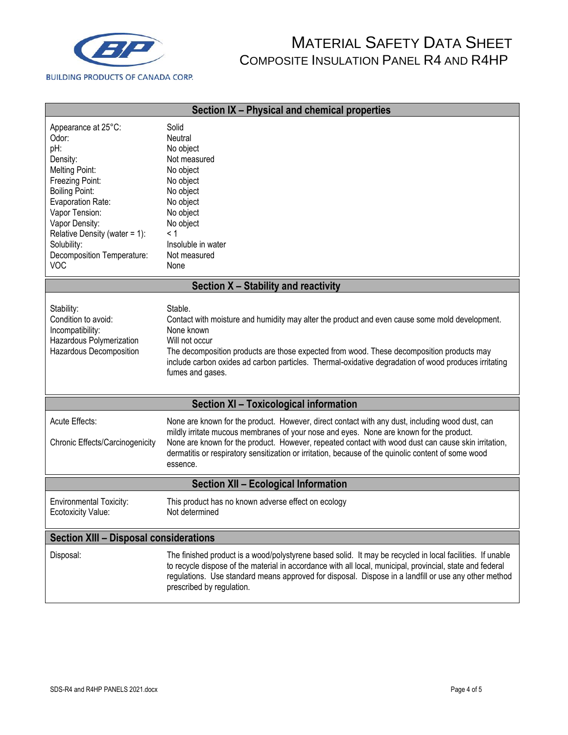

| Section IX - Physical and chemical properties                                                                                                                                                                                                                             |                                                                                                                                                                                                                                                                                                                                                                                                                      |  |  |  |  |
|---------------------------------------------------------------------------------------------------------------------------------------------------------------------------------------------------------------------------------------------------------------------------|----------------------------------------------------------------------------------------------------------------------------------------------------------------------------------------------------------------------------------------------------------------------------------------------------------------------------------------------------------------------------------------------------------------------|--|--|--|--|
| Appearance at 25°C:<br>Odor:<br>pH:<br>Density:<br><b>Melting Point:</b><br>Freezing Point:<br><b>Boiling Point:</b><br>Evaporation Rate:<br>Vapor Tension:<br>Vapor Density:<br>Relative Density (water = 1):<br>Solubility:<br>Decomposition Temperature:<br><b>VOC</b> | Solid<br>Neutral<br>No object<br>Not measured<br>No object<br>No object<br>No object<br>No object<br>No object<br>No object<br>< 1<br>Insoluble in water<br>Not measured<br>None                                                                                                                                                                                                                                     |  |  |  |  |
|                                                                                                                                                                                                                                                                           | Section X - Stability and reactivity                                                                                                                                                                                                                                                                                                                                                                                 |  |  |  |  |
| Stability:<br>Condition to avoid:<br>Incompatibility:<br>Hazardous Polymerization<br>Hazardous Decomposition                                                                                                                                                              | Stable.<br>Contact with moisture and humidity may alter the product and even cause some mold development.<br>None known<br>Will not occur<br>The decomposition products are those expected from wood. These decomposition products may<br>include carbon oxides ad carbon particles. Thermal-oxidative degradation of wood produces irritating<br>fumes and gases.                                                   |  |  |  |  |
|                                                                                                                                                                                                                                                                           | Section XI - Toxicological information                                                                                                                                                                                                                                                                                                                                                                               |  |  |  |  |
| Acute Effects:<br>Chronic Effects/Carcinogenicity                                                                                                                                                                                                                         | None are known for the product. However, direct contact with any dust, including wood dust, can<br>mildly irritate mucous membranes of your nose and eyes. None are known for the product.<br>None are known for the product. However, repeated contact with wood dust can cause skin irritation,<br>dermatitis or respiratory sensitization or irritation, because of the quinolic content of some wood<br>essence. |  |  |  |  |
| <b>Section XII - Ecological Information</b>                                                                                                                                                                                                                               |                                                                                                                                                                                                                                                                                                                                                                                                                      |  |  |  |  |
| <b>Environmental Toxicity:</b><br><b>Ecotoxicity Value:</b>                                                                                                                                                                                                               | This product has no known adverse effect on ecology<br>Not determined                                                                                                                                                                                                                                                                                                                                                |  |  |  |  |
| <b>Section XIII - Disposal considerations</b>                                                                                                                                                                                                                             |                                                                                                                                                                                                                                                                                                                                                                                                                      |  |  |  |  |
| Disposal:                                                                                                                                                                                                                                                                 | The finished product is a wood/polystyrene based solid. It may be recycled in local facilities. If unable<br>to recycle dispose of the material in accordance with all local, municipal, provincial, state and federal<br>regulations. Use standard means approved for disposal. Dispose in a landfill or use any other method<br>prescribed by regulation.                                                          |  |  |  |  |